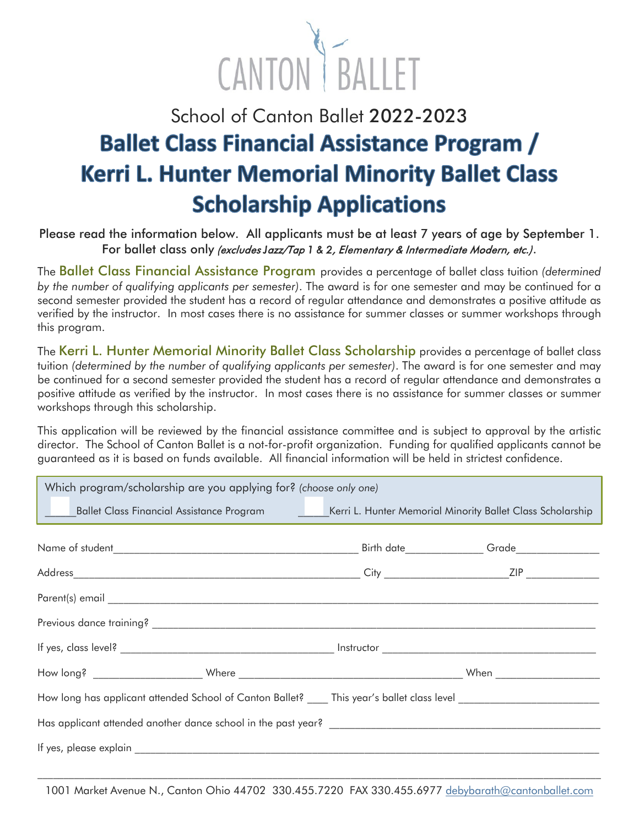

## School of Canton Ballet 2022-2023 **Ballet Class Financial Assistance Program / Kerri L. Hunter Memorial Minority Ballet Class Scholarship Applications**

## Please read the information below. All applicants must be at least 7 years of age by September 1. For ballet class only (excludes *J*azz/Tap *1 & 2*, Elementary & Intermediate Modern, etc.).

The Ballet Class Financial Assistance Program provides a percentage of ballet class tuition *(determined by the number of qualifying applicants per semester)*. The award is for one semester and may be continued for a second semester provided the student has a record of regular attendance and demonstrates a positive attitude as verified by the instructor. In most cases there is no assistance for summer classes or summer workshops through this program.

The Kerri L. Hunter Memorial Minority Ballet Class Scholarship provides a percentage of ballet class tuition *(determined by the number of qualifying applicants per semester)*. The award is for one semester and may be continued for a second semester provided the student has a record of regular attendance and demonstrates a positive attitude as verified by the instructor. In most cases there is no assistance for summer classes or summer workshops through this scholarship.

This application will be reviewed by the financial assistance committee and is subject to approval by the artistic director. The School of Canton Ballet is a not-for-profit organization. Funding for qualified applicants cannot be guaranteed as it is based on funds available. All financial information will be held in strictest confidence.

| Which program/scholarship are you applying for? (choose only one)                                                   |  |  |  |  |  |  |
|---------------------------------------------------------------------------------------------------------------------|--|--|--|--|--|--|
| Ballet Class Financial Assistance Program ___________Kerri L. Hunter Memorial Minority Ballet Class Scholarship     |  |  |  |  |  |  |
|                                                                                                                     |  |  |  |  |  |  |
|                                                                                                                     |  |  |  |  |  |  |
|                                                                                                                     |  |  |  |  |  |  |
|                                                                                                                     |  |  |  |  |  |  |
|                                                                                                                     |  |  |  |  |  |  |
|                                                                                                                     |  |  |  |  |  |  |
| How long has applicant attended School of Canton Ballet? ____ This year's ballet class level ______________________ |  |  |  |  |  |  |
|                                                                                                                     |  |  |  |  |  |  |
|                                                                                                                     |  |  |  |  |  |  |

1001 Market Avenue N., Canton Ohio 44702 330.455.7220 FAX 330.455.6977 [debybarath@cantonballet.com](mailto:debybarath@cantonballet.com)